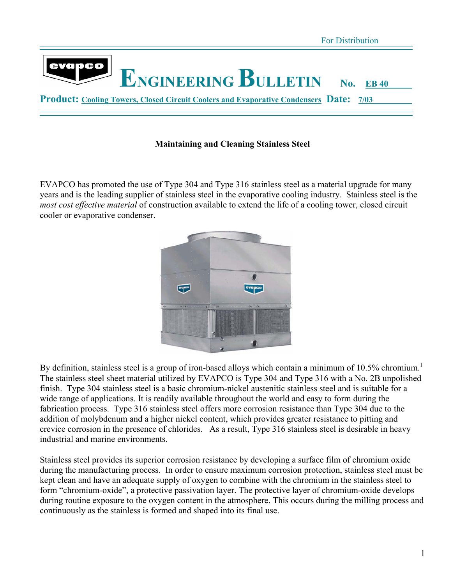

#### **Maintaining and Cleaning Stainless Steel**

EVAPCO has promoted the use of Type 304 and Type 316 stainless steel as a material upgrade for many years and is the leading supplier of stainless steel in the evaporative cooling industry. Stainless steel is the *most cost effective material* of construction available to extend the life of a cooling tower, closed circuit cooler or evaporative condenser.



By definition, stainless steel is a group of iron-based alloys which contain a minimum of 10.5% chromium.<sup>1</sup> The stainless steel sheet material utilized by EVAPCO is Type 304 and Type 316 with a No. 2B unpolished finish. Type 304 stainless steel is a basic chromium-nickel austenitic stainless steel and is suitable for a wide range of applications. It is readily available throughout the world and easy to form during the fabrication process. Type 316 stainless steel offers more corrosion resistance than Type 304 due to the addition of molybdenum and a higher nickel content, which provides greater resistance to pitting and crevice corrosion in the presence of chlorides. As a result, Type 316 stainless steel is desirable in heavy industrial and marine environments.

Stainless steel provides its superior corrosion resistance by developing a surface film of chromium oxide during the manufacturing process. In order to ensure maximum corrosion protection, stainless steel must be kept clean and have an adequate supply of oxygen to combine with the chromium in the stainless steel to form "chromium-oxide", a protective passivation layer. The protective layer of chromium-oxide develops during routine exposure to the oxygen content in the atmosphere. This occurs during the milling process and continuously as the stainless is formed and shaped into its final use.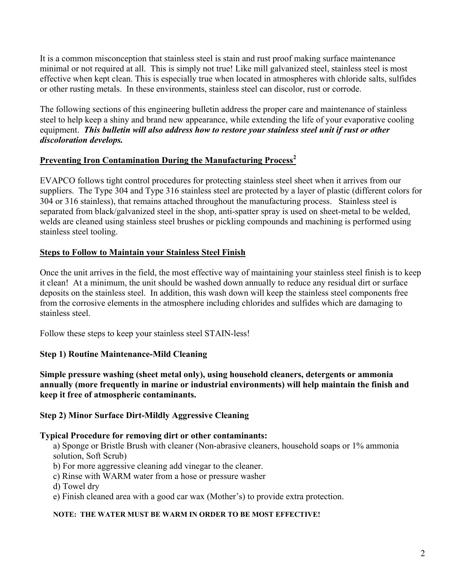It is a common misconception that stainless steel is stain and rust proof making surface maintenance minimal or not required at all. This is simply not true! Like mill galvanized steel, stainless steel is most effective when kept clean. This is especially true when located in atmospheres with chloride salts, sulfides or other rusting metals. In these environments, stainless steel can discolor, rust or corrode.

The following sections of this engineering bulletin address the proper care and maintenance of stainless steel to help keep a shiny and brand new appearance, while extending the life of your evaporative cooling equipment. *This bulletin will also address how to restore your stainless steel unit if rust or other discoloration develops.* 

# **Preventing Iron Contamination During the Manufacturing Process<sup>2</sup>**

EVAPCO follows tight control procedures for protecting stainless steel sheet when it arrives from our suppliers. The Type 304 and Type 316 stainless steel are protected by a layer of plastic (different colors for 304 or 316 stainless), that remains attached throughout the manufacturing process. Stainless steel is separated from black/galvanized steel in the shop, anti-spatter spray is used on sheet-metal to be welded, welds are cleaned using stainless steel brushes or pickling compounds and machining is performed using stainless steel tooling.

# **Steps to Follow to Maintain your Stainless Steel Finish**

Once the unit arrives in the field, the most effective way of maintaining your stainless steel finish is to keep it clean! At a minimum, the unit should be washed down annually to reduce any residual dirt or surface deposits on the stainless steel. In addition, this wash down will keep the stainless steel components free from the corrosive elements in the atmosphere including chlorides and sulfides which are damaging to stainless steel.

Follow these steps to keep your stainless steel STAIN-less!

# **Step 1) Routine Maintenance-Mild Cleaning**

**Simple pressure washing (sheet metal only), using household cleaners, detergents or ammonia annually (more frequently in marine or industrial environments) will help maintain the finish and keep it free of atmospheric contaminants.** 

# **Step 2) Minor Surface Dirt-Mildly Aggressive Cleaning**

#### **Typical Procedure for removing dirt or other contaminants:**

a) Sponge or Bristle Brush with cleaner (Non-abrasive cleaners, household soaps or 1% ammonia solution, Soft Scrub)

- b) For more aggressive cleaning add vinegar to the cleaner.
- c) Rinse with WARM water from a hose or pressure washer
- d) Towel dry
- e) Finish cleaned area with a good car wax (Mother's) to provide extra protection.

#### **NOTE: THE WATER MUST BE WARM IN ORDER TO BE MOST EFFECTIVE!**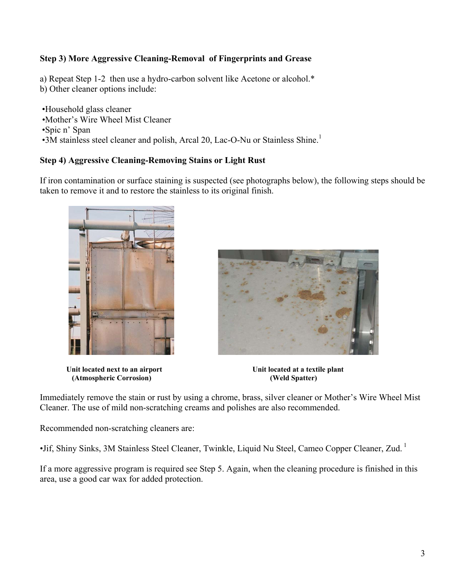# **Step 3) More Aggressive Cleaning-Removal of Fingerprints and Grease**

a) Repeat Step 1-2 then use a hydro-carbon solvent like Acetone or alcohol.\*

b) Other cleaner options include:

 •Household glass cleaner •Mother's Wire Wheel Mist Cleaner •Spic n' Span  $\bullet$ 3M stainless steel cleaner and polish, Arcal 20, Lac-O-Nu or Stainless Shine.<sup>1</sup>

# **Step 4) Aggressive Cleaning-Removing Stains or Light Rust**

If iron contamination or surface staining is suspected (see photographs below), the following steps should be taken to remove it and to restore the stainless to its original finish.



Unit located next to an airport Unit located at a textile plant<br>
(Atmospheric Corrosion) (Weld Spatter) **(Atmospheric Corrosion)** 



Immediately remove the stain or rust by using a chrome, brass, silver cleaner or Mother's Wire Wheel Mist Cleaner. The use of mild non-scratching creams and polishes are also recommended.

Recommended non-scratching cleaners are:

•Jif, Shiny Sinks, 3M Stainless Steel Cleaner, Twinkle, Liquid Nu Steel, Cameo Copper Cleaner, Zud. 1

If a more aggressive program is required see Step 5. Again, when the cleaning procedure is finished in this area, use a good car wax for added protection.